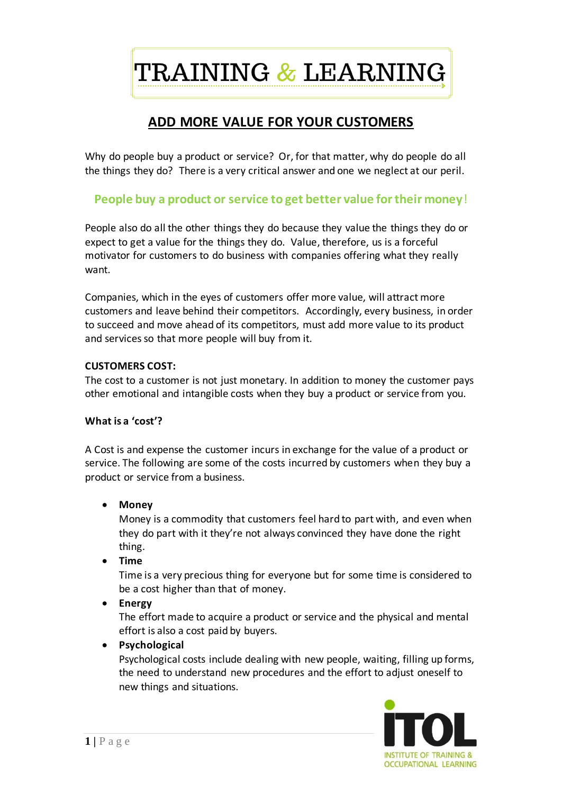TRAINING & LEARNING

# **ADD MORE VALUE FOR YOUR CUSTOMERS**

Why do people buy a product or service? Or, for that matter, why do people do all the things they do? There is a very critical answer and one we neglect at our peril.

# **People buy a product or service to get better value for their money**!

People also do all the other things they do because they value the things they do or expect to get a value for the things they do. Value, therefore, us is a forceful motivator for customers to do business with companies offering what they really want.

Companies, which in the eyes of customers offer more value, will attract more customers and leave behind their competitors. Accordingly, every business, in order to succeed and move ahead of its competitors, must add more value to its product and services so that more people will buy from it.

# **CUSTOMERS COST:**

The cost to a customer is not just monetary. In addition to money the customer pays other emotional and intangible costs when they buy a product or service from you.

# **What is a 'cost'?**

A Cost is and expense the customer incurs in exchange for the value of a product or service. The following are some of the costs incurred by customers when they buy a product or service from a business.

• **Money**

Money is a commodity that customers feel hard to part with, and even when they do part with it they're not always convinced they have done the right thing.

• **Time**

Time is a very precious thing for everyone but for some time is considered to be a cost higher than that of money.

• **Energy**

The effort made to acquire a product or service and the physical and mental effort is also a cost paid by buyers.

# • **Psychological**

Psychological costs include dealing with new people, waiting, filling up forms, the need to understand new procedures and the effort to adjust oneself to new things and situations.

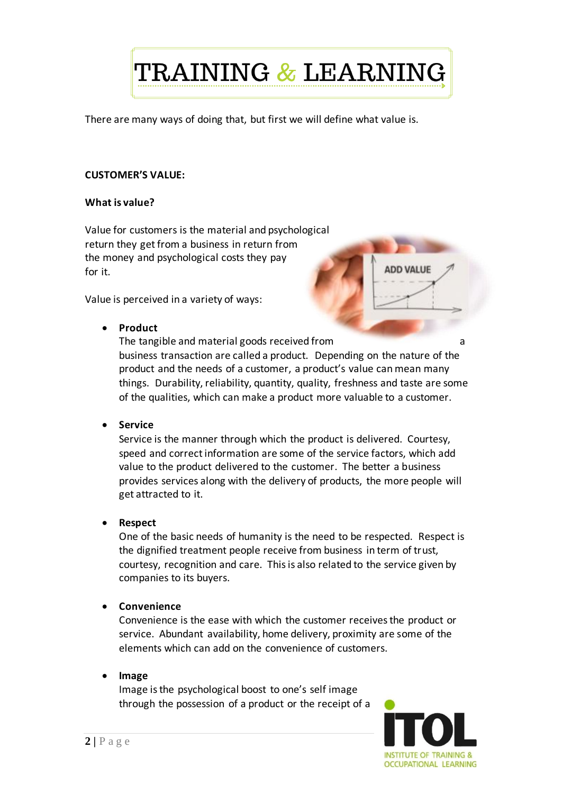TRAINING & LEARNING

There are many ways of doing that, but first we will define what value is.

# **CUSTOMER'S VALUE:**

#### **What is value?**

Value for customers is the material and psychological return they get from a business in return from the money and psychological costs they pay for it.

Value is perceived in a variety of ways:

• **Product** 

The tangible and material goods received from and the tangible and material goods received from business transaction are called a product. Depending on the nature of the product and the needs of a customer, a product's value can mean many things. Durability, reliability, quantity, quality, freshness and taste are some of the qualities, which can make a product more valuable to a customer.

• **Service**

Service is the manner through which the product is delivered. Courtesy, speed and correct information are some of the service factors, which add value to the product delivered to the customer. The better a business provides services along with the delivery of products, the more people will get attracted to it.

• **Respect**

One of the basic needs of humanity is the need to be respected. Respect is the dignified treatment people receive from business in term of trust, courtesy, recognition and care. This is also related to the service given by companies to its buyers.

• **Convenience**

Convenience is the ease with which the customer receives the product or service. Abundant availability, home delivery, proximity are some of the elements which can add on the convenience of customers.

# • **Image**

Image is the psychological boost to one's self image through the possession of a product or the receipt of a



**ADD VALUE**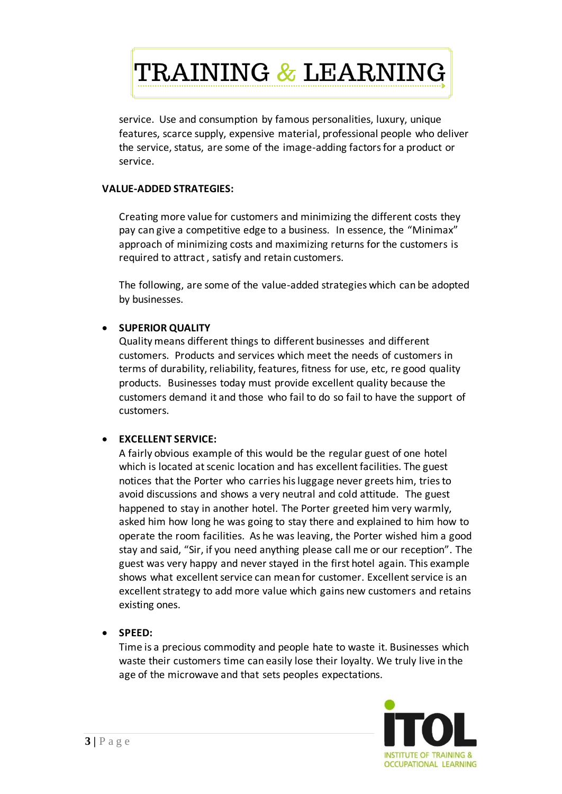TRAINING & LEARNING

service. Use and consumption by famous personalities, luxury, unique features, scarce supply, expensive material, professional people who deliver the service, status, are some of the image-adding factors for a product or service.

### **VALUE-ADDED STRATEGIES:**

Creating more value for customers and minimizing the different costs they pay can give a competitive edge to a business. In essence, the "Minimax" approach of minimizing costs and maximizing returns for the customers is required to attract , satisfy and retain customers.

The following, are some of the value-added strategies which can be adopted by businesses.

# • **SUPERIOR QUALITY**

Quality means different things to different businesses and different customers. Products and services which meet the needs of customers in terms of durability, reliability, features, fitness for use, etc, re good quality products. Businesses today must provide excellent quality because the customers demand it and those who fail to do so fail to have the support of customers.

# • **EXCELLENT SERVICE:**

A fairly obvious example of this would be the regular guest of one hotel which is located at scenic location and has excellent facilities. The guest notices that the Porter who carries hisluggage never greets him, tries to avoid discussions and shows a very neutral and cold attitude. The guest happened to stay in another hotel. The Porter greeted him very warmly, asked him how long he was going to stay there and explained to him how to operate the room facilities. As he was leaving, the Porter wished him a good stay and said, "Sir, if you need anything please call me or our reception". The guest was very happy and never stayed in the first hotel again. This example shows what excellent service can mean for customer. Excellent service is an excellent strategy to add more value which gains new customers and retains existing ones.

# • **SPEED:**

Time is a precious commodity and people hate to waste it. Businesses which waste their customers time can easily lose their loyalty. We truly live in the age of the microwave and that sets peoples expectations.